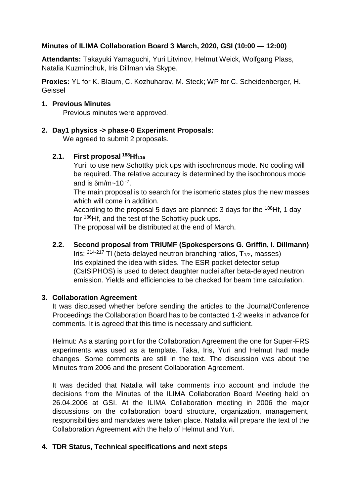# **Minutes of ILIMA Collaboration Board 3 March, 2020, GSI (10:00 — 12:00)**

**Attendants:** Takayuki Yamaguchi, Yuri Litvinov, Helmut Weick, Wolfgang Plass, Natalia Kuzminchuk, Iris Dillman via Skype.

**Proxies:** YL for K. Blaum, C. Kozhuharov, M. Steck; WP for C. Scheidenberger, H. Geissel

#### **1. Previous Minutes**

Previous minutes were approved.

**2. Day1 physics -> phase-0 Experiment Proposals:**

We agreed to submit 2 proposals.

### **2.1. First proposal <sup>188</sup>Hf<sup>116</sup>**

Yuri: to use new Schottky pick ups with isochronous mode. No cooling will be required. The relative accuracy is determined by the isochronous mode and is  $\delta m/m$  ~ 10  $^{-7}$ .

The main proposal is to search for the isomeric states plus the new masses which will come in addition.

According to the proposal 5 days are planned: 3 days for the <sup>188</sup>Hf, 1 day for <sup>186</sup>Hf, and the test of the Schottky puck ups.

The proposal will be distributed at the end of March.

# **2.2. Second proposal from TRIUMF (Spokespersons G. Griffin, I. Dillmann)**

Iris:  $214-217$  TI (beta-delayed neutron branching ratios,  $T_{1/2}$ , masses) Iris explained the idea with slides. The ESR pocket detector setup (CsISiPHOS) is used to detect daughter nuclei after beta-delayed neutron emission. Yields and efficiencies to be checked for beam time calculation.

## **3. Collaboration Agreement**

It was discussed whether before sending the articles to the Journal/Conference Proceedings the Collaboration Board has to be contacted 1-2 weeks in advance for comments. It is agreed that this time is necessary and sufficient.

Helmut: As a starting point for the Collaboration Agreement the one for Super-FRS experiments was used as a template. Taka, Iris, Yuri and Helmut had made changes. Some comments are still in the text. The discussion was about the Minutes from 2006 and the present Collaboration Agreement.

It was decided that Natalia will take comments into account and include the decisions from the Minutes of the ILIMA Collaboration Board Meeting held on 26.04.2006 at GSI. At the ILIMA Collaboration meeting in 2006 the major discussions on the collaboration board structure, organization, management, responsibilities and mandates were taken place. Natalia will prepare the text of the Collaboration Agreement with the help of Helmut and Yuri.

## **4. TDR Status, Technical specifications and next steps**